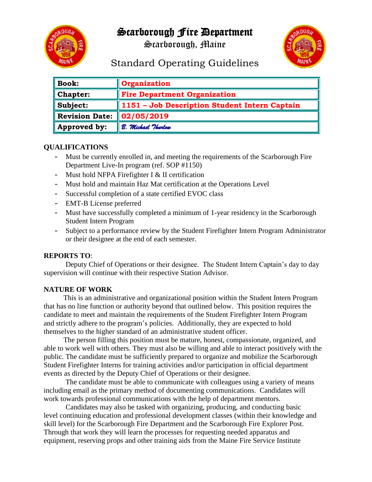# Scarborough Fire Department



Scarborough, Maine



# Standard Operating Guidelines

| <b>Book:</b>          | Organization                                  |
|-----------------------|-----------------------------------------------|
| Chapter:              | <b>Fire Department Organization</b>           |
| Subject:              | 1151 - Job Description Student Intern Captain |
| <b>Revision Date:</b> | $\mid$ 02/05/2019                             |
| Approved by:          | B. Michael Thurlow                            |

#### **QUALIFICATIONS**

- Must be currently enrolled in, and meeting the requirements of the Scarborough Fire Department Live-In program (ref. SOP #1150)
- Must hold NFPA Firefighter I & II certification
- Must hold and maintain Haz Mat certification at the Operations Level
- Successful completion of a state certified EVOC class
- EMT-B License preferred
- Must have successfully completed a minimum of 1-year residency in the Scarborough Student Intern Program
- Subject to a performance review by the Student Firefighter Intern Program Administrator or their designee at the end of each semester.

#### **REPORTS TO**:

Deputy Chief of Operations or their designee. The Student Intern Captain's day to day supervision will continue with their respective Station Advisor.

## **NATURE OF WORK**

This is an administrative and organizational position within the Student Intern Program that has no line function or authority beyond that outlined below. This position requires the candidate to meet and maintain the requirements of the Student Firefighter Intern Program and strictly adhere to the program's policies. Additionally, they are expected to hold themselves to the higher standard of an administrative student officer.

The person filling this position must be mature, honest, compassionate, organized, and able to work well with others. They must also be willing and able to interact positively with the public. The candidate must be sufficiently prepared to organize and mobilize the Scarborough Student Firefighter Interns for training activities and/or participation in official department events as directed by the Deputy Chief of Operations or their designee.

The candidate must be able to communicate with colleagues using a variety of means including email as the primary method of documenting communications. Candidates will work towards professional communications with the help of department mentors.

Candidates may also be tasked with organizing, producing, and conducting basic level continuing education and professional development classes (within their knowledge and skill level) for the Scarborough Fire Department and the Scarborough Fire Explorer Post. Through that work they will learn the processes for requesting needed apparatus and equipment, reserving props and other training aids from the Maine Fire Service Institute